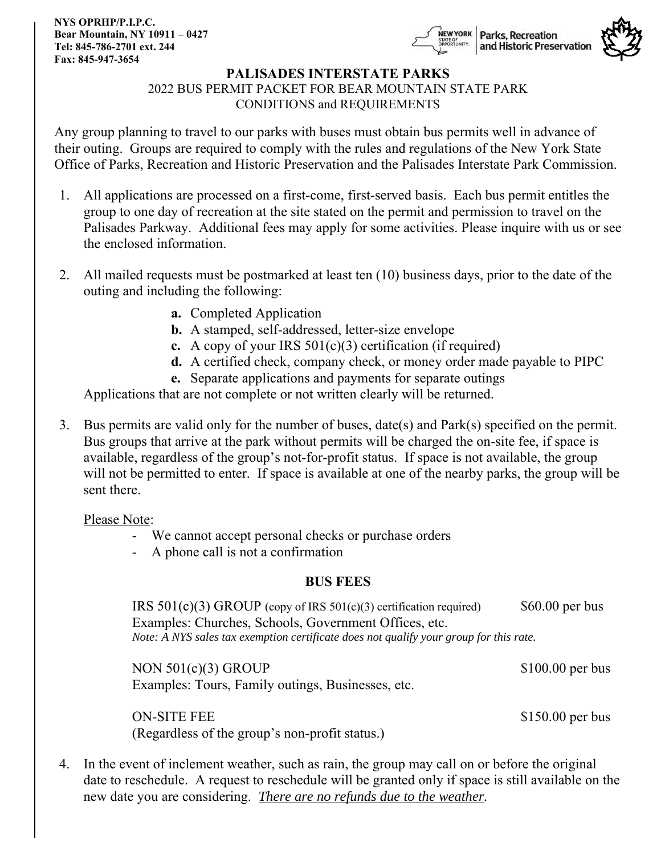**NYS OPRHP/P.I.P.C. Bear Mountain, NY 10911 – 0427 Tel: 845-786-2701 ext. 244 Fax: 845-947-3654**





### **PALISADES INTERSTATE PARKS**

2022 BUS PERMIT PACKET FOR BEAR MOUNTAIN STATE PARK

CONDITIONS and REQUIREMENTS

Any group planning to travel to our parks with buses must obtain bus permits well in advance of their outing. Groups are required to comply with the rules and regulations of the New York State Office of Parks, Recreation and Historic Preservation and the Palisades Interstate Park Commission.

- 1. All applications are processed on a first-come, first-served basis. Each bus permit entitles the group to one day of recreation at the site stated on the permit and permission to travel on the Palisades Parkway. Additional fees may apply for some activities. Please inquire with us or see the enclosed information.
- 2. All mailed requests must be postmarked at least ten (10) business days, prior to the date of the outing and including the following:
	- **a.** Completed Application
	- **b.** A stamped, self-addressed, letter-size envelope
	- **c.** A copy of your IRS 501(c)(3) certification (if required)
	- **d.** A certified check, company check, or money order made payable to PIPC
	- **e.** Separate applications and payments for separate outings

Applications that are not complete or not written clearly will be returned.

3. Bus permits are valid only for the number of buses, date(s) and Park(s) specified on the permit. Bus groups that arrive at the park without permits will be charged the on-site fee, if space is available, regardless of the group's not-for-profit status. If space is not available, the group will not be permitted to enter. If space is available at one of the nearby parks, the group will be sent there.

Please Note:

- We cannot accept personal checks or purchase orders
- A phone call is not a confirmation

### **BUS FEES**

IRS  $501(c)(3)$  GROUP (copy of IRS  $501(c)(3)$  certification required) \$60.00 per bus Examples: Churches, Schools, Government Offices, etc. *Note: A NYS sales tax exemption certificate does not qualify your group for this rate.*

NON  $501(c)(3)$  GROUP \$100.00 per bus Examples: Tours, Family outings, Businesses, etc.

(Regardless of the group's non-profit status.)

ON-SITE FEE \$150.00 per bus

4. In the event of inclement weather, such as rain, the group may call on or before the original date to reschedule. A request to reschedule will be granted only if space is still available on the new date you are considering. *There are no refunds due to the weather.*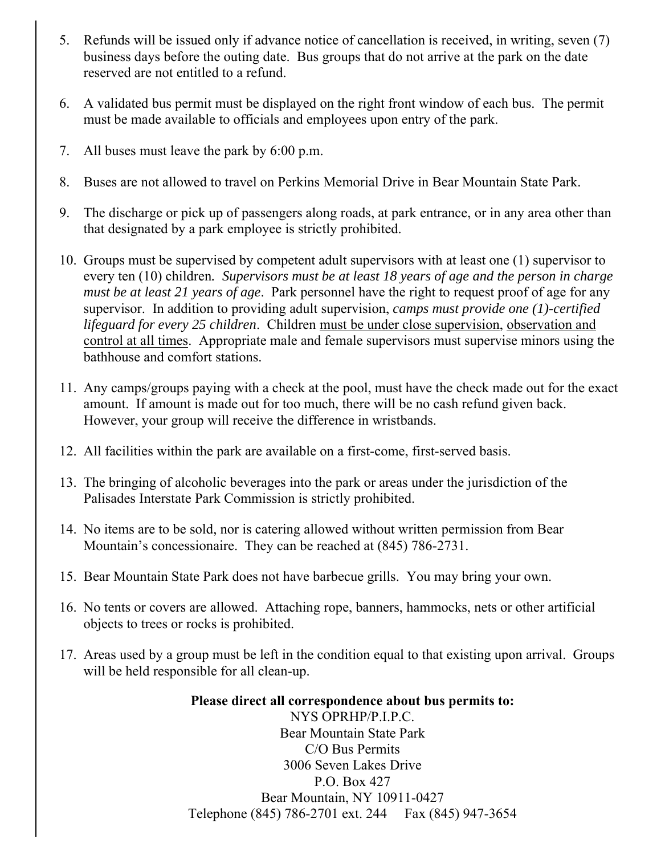- 5. Refunds will be issued only if advance notice of cancellation is received, in writing, seven (7) business days before the outing date. Bus groups that do not arrive at the park on the date reserved are not entitled to a refund.
- 6. A validated bus permit must be displayed on the right front window of each bus. The permit must be made available to officials and employees upon entry of the park.
- 7. All buses must leave the park by 6:00 p.m.
- 8. Buses are not allowed to travel on Perkins Memorial Drive in Bear Mountain State Park.
- 9. The discharge or pick up of passengers along roads, at park entrance, or in any area other than that designated by a park employee is strictly prohibited.
- 10. Groups must be supervised by competent adult supervisors with at least one (1) supervisor to every ten (10) children*. Supervisors must be at least 18 years of age and the person in charge must be at least 21 years of age*. Park personnel have the right to request proof of age for any supervisor. In addition to providing adult supervision, *camps must provide one (1)-certified lifeguard for every 25 children*. Children must be under close supervision, observation and control at all times. Appropriate male and female supervisors must supervise minors using the bathhouse and comfort stations.
- 11. Any camps/groups paying with a check at the pool, must have the check made out for the exact amount. If amount is made out for too much, there will be no cash refund given back. However, your group will receive the difference in wristbands.
- 12. All facilities within the park are available on a first-come, first-served basis.
- 13. The bringing of alcoholic beverages into the park or areas under the jurisdiction of the Palisades Interstate Park Commission is strictly prohibited.
- 14. No items are to be sold, nor is catering allowed without written permission from Bear Mountain's concessionaire. They can be reached at (845) 786-2731.
- 15. Bear Mountain State Park does not have barbecue grills. You may bring your own.
- 16. No tents or covers are allowed. Attaching rope, banners, hammocks, nets or other artificial objects to trees or rocks is prohibited.
- 17. Areas used by a group must be left in the condition equal to that existing upon arrival. Groups will be held responsible for all clean-up.

**Please direct all correspondence about bus permits to:** NYS OPRHP/P.I.P.C. Bear Mountain State Park C/O Bus Permits 3006 Seven Lakes Drive P.O. Box 427 Bear Mountain, NY 10911-0427 Telephone (845) 786-2701 ext. 244 Fax (845) 947-3654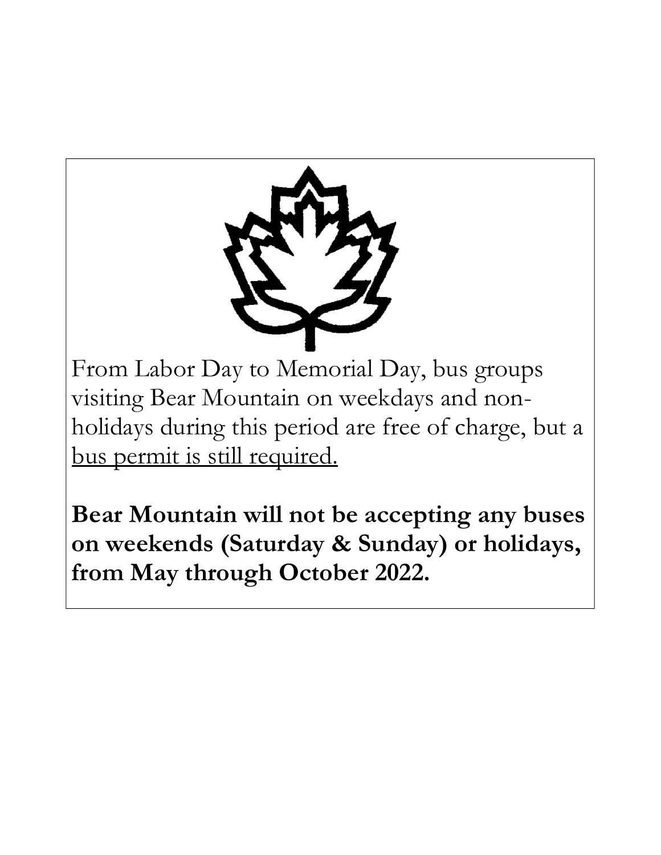

From Labor Day to Memorial Day, bus groups visiting Bear Mountain on weekdays and nonholidays during this period are free of charge, but a bus permit is still required.

**Bear Mountain will not be accepting any buses on weekends (Saturday & Sunday) or holidays, from May through October 2022.**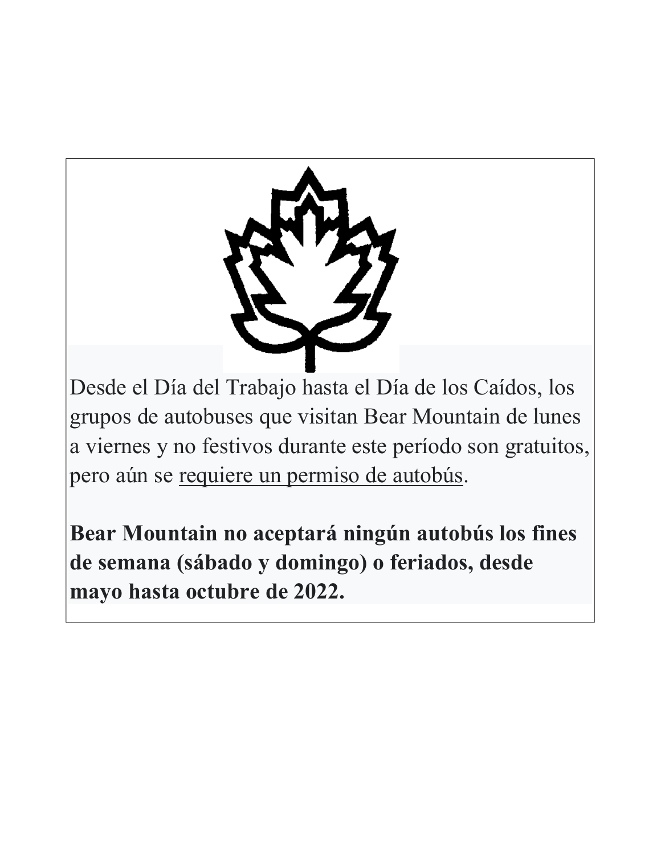

Desde el Día del Trabajo hasta el Día de los Caídos, los grupos de autobuses que visitan Bear Mountain de lunes a viernes y no festivos durante este período son gratuitos, pero aún se requiere un permiso de autobús.

**Bear Mountain no aceptará ningún autobús los fines de semana (sábado y domingo) o feriados, desde mayo hasta octubre de 2022.**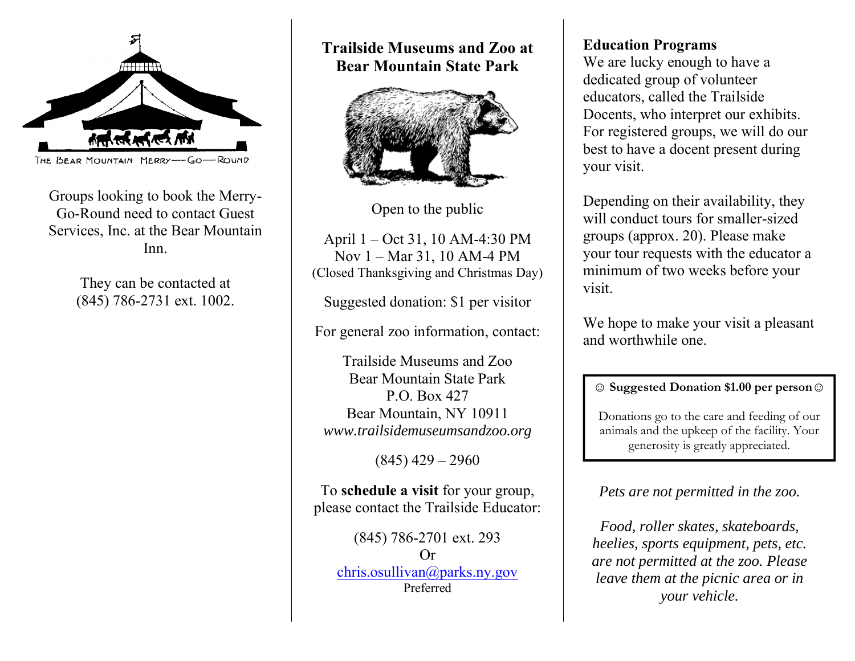

Groups looking to book the Merry-Go-Round need to contact Guest Services, Inc. at the Bear Mountain Inn.

> They can be contacted at (845) 786-2731 ext. 1002.

**Trailside Museums and Zoo at Bear Mountain State Park**



Open to the public

April 1 – Oct 31, 10 AM-4:30 PM Nov 1 – Mar 31, 10 AM-4 PM (Closed Thanksgiving and Christmas Day)

Suggested donation: \$1 per visitor

For general zoo information, contact:

Trailside Museums and Zoo Bear Mountain State Park P.O. Box 427 Bear Mountain, NY 10911 *www.trailsidemuseumsandzoo.org*

 $(845)$  429 – 2960

To **schedule a visit** for your group, please contact the Trailside Educator:

(845) 786-2701 ext. 293 Or [chris.osullivan@parks.ny.gov](mailto:chris.osullivan@parks.ny.gov) Preferred

## **Education Programs**

We are lucky enough to have a dedicated group of volunteer educators, called the Trailside Docents, who interpret our exhibits. For registered groups, we will do our best to have a docent present during your visit.

Depending on their availability, they will conduct tours for smaller-sized groups (approx. 20). Please make your tour requests with the educator a minimum of two weeks before your visit.

We hope to make your visit a pleasant and worthwhile one.

## **☺ Suggested Donation \$1.00 per person☺**

Donations go to the care and feeding of our animals and the upkeep of the facility. Your generosity is greatly appreciated.

## *Pets are not permitted in the zoo.*

*Food, roller skates, skateboards, heelies, sports equipment, pets, etc. are not permitted at the zoo. Please leave them at the picnic area or in your vehicle.*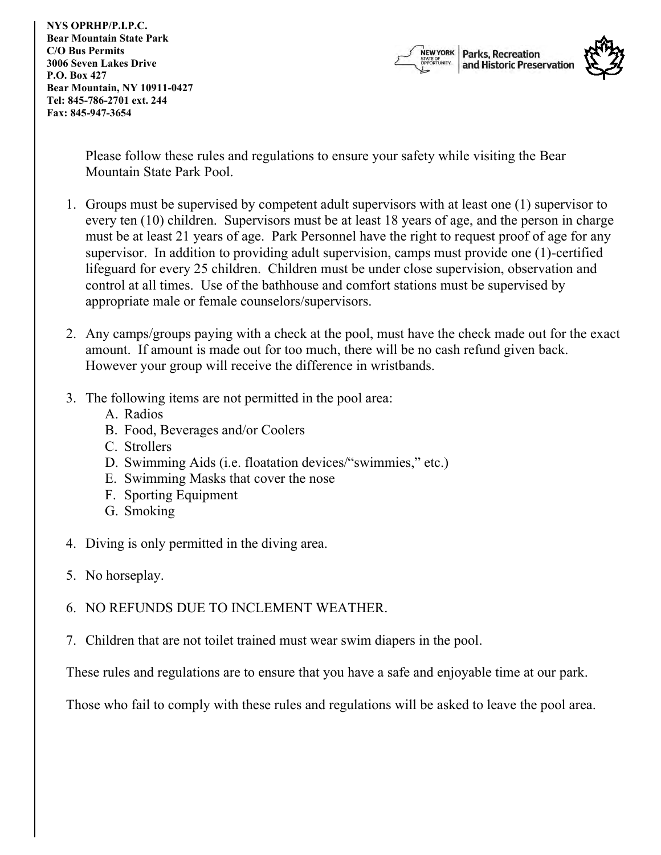**NYS OPRHP/P.I.P.C. Bear Mountain State Park C/O Bus Permits 3006 Seven Lakes Drive P.O. Box 427 Bear Mountain, NY 10911-0427 Tel: 845-786-2701 ext. 244 Fax: 845-947-3654**



Please follow these rules and regulations to ensure your safety while visiting the Bear Mountain State Park Pool.

- 1. Groups must be supervised by competent adult supervisors with at least one (1) supervisor to every ten (10) children. Supervisors must be at least 18 years of age, and the person in charge must be at least 21 years of age. Park Personnel have the right to request proof of age for any supervisor. In addition to providing adult supervision, camps must provide one (1)-certified lifeguard for every 25 children. Children must be under close supervision, observation and control at all times. Use of the bathhouse and comfort stations must be supervised by appropriate male or female counselors/supervisors.
- 2. Any camps/groups paying with a check at the pool, must have the check made out for the exact amount. If amount is made out for too much, there will be no cash refund given back. However your group will receive the difference in wristbands.
- 3. The following items are not permitted in the pool area:
	- A. Radios
	- B. Food, Beverages and/or Coolers
	- C. Strollers
	- D. Swimming Aids (i.e. floatation devices/"swimmies," etc.)
	- E. Swimming Masks that cover the nose
	- F. Sporting Equipment
	- G. Smoking
- 4. Diving is only permitted in the diving area.
- 5. No horseplay.
- 6. NO REFUNDS DUE TO INCLEMENT WEATHER.
- 7. Children that are not toilet trained must wear swim diapers in the pool.

These rules and regulations are to ensure that you have a safe and enjoyable time at our park.

Those who fail to comply with these rules and regulations will be asked to leave the pool area.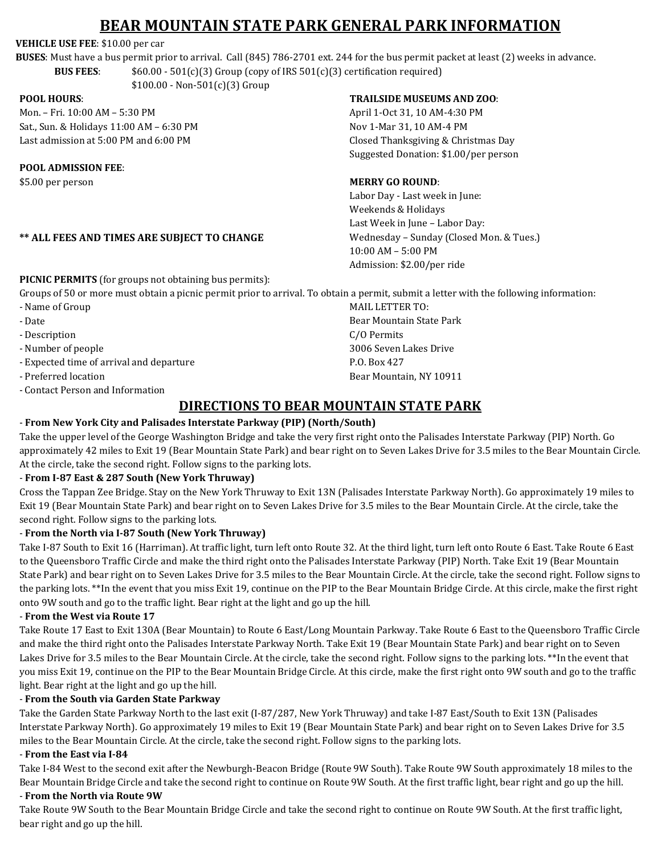# **BEAR MOUNTAIN STATE PARK GENERAL PARK INFORMATION**

### **VEHICLE USE FEE**: \$10.00 per car

**BUSES**: Must have a bus permit prior to arrival. Call (845) 786-2701 ext. 244 for the bus permit packet at least (2) weeks in advance. **BUS FEES**: \$60.00 - 501(c)(3) Group (copy of IRS 501(c)(3) certification required)

 $$100.00 - Non-501(c)(3)$  Group

#### **POOL HOURS**:

Mon. – Fri. 10:00 AM – 5:30 PM Sat., Sun. & Holidays 11:00 AM – 6:30 PM Last admission at 5:00 PM and 6:00 PM

### **POOL ADMISSION FEE**:

\$5.00 per person

### **\*\* ALL FEES AND TIMES ARE SUBJECT TO CHANGE**

#### **TRAILSIDE MUSEUMS AND ZOO**:

April 1-Oct 31, 10 AM-4:30 PM Nov 1-Mar 31, 10 AM-4 PM Closed Thanksgiving & Christmas Day Suggested Donation: \$1.00/per person

### **MERRY GO ROUND**:

MAIL LETTER TO:

C/O Permits

P.O. Box 427

Bear Mountain State Park

3006 Seven Lakes Drive

Bear Mountain, NY 10911

Labor Day - Last week in June: Weekends & Holidays Last Week in June – Labor Day: Wednesday – Sunday (Closed Mon. & Tues.) 10:00 AM – 5:00 PM Admission: \$2.00/per ride

**PICNIC PERMITS** (for groups not obtaining bus permits):

Groups of 50 or more must obtain a picnic permit prior to arrival. To obtain a permit, submit a letter with the following information:

- Name of Group
- Date
- Description
- Number of people
- Expected time of arrival and departure
- Preferred location
- Contact Person and Information

### **DIRECTIONS TO BEAR MOUNTAIN STATE PARK**

### - **From New York City and Palisades Interstate Parkway (PIP) (North/South)**

Take the upper level of the George Washington Bridge and take the very first right onto the Palisades Interstate Parkway (PIP) North. Go approximately 42 miles to Exit 19 (Bear Mountain State Park) and bear right on to Seven Lakes Drive for 3.5 miles to the Bear Mountain Circle. At the circle, take the second right. Follow signs to the parking lots.

### - **From I-87 East & 287 South (New York Thruway)**

Cross the Tappan Zee Bridge. Stay on the New York Thruway to Exit 13N (Palisades Interstate Parkway North). Go approximately 19 miles to Exit 19 (Bear Mountain State Park) and bear right on to Seven Lakes Drive for 3.5 miles to the Bear Mountain Circle. At the circle, take the second right. Follow signs to the parking lots.

### - **From the North via I-87 South (New York Thruway)**

Take I-87 South to Exit 16 (Harriman). At traffic light, turn left onto Route 32. At the third light, turn left onto Route 6 East. Take Route 6 East to the Queensboro Traffic Circle and make the third right onto the Palisades Interstate Parkway (PIP) North. Take Exit 19 (Bear Mountain State Park) and bear right on to Seven Lakes Drive for 3.5 miles to the Bear Mountain Circle. At the circle, take the second right. Follow signs to the parking lots. \*\*In the event that you miss Exit 19, continue on the PIP to the Bear Mountain Bridge Circle. At this circle, make the first right onto 9W south and go to the traffic light. Bear right at the light and go up the hill.

#### - **From the West via Route 17**

Take Route 17 East to Exit 130A (Bear Mountain) to Route 6 East/Long Mountain Parkway. Take Route 6 East to the Queensboro Traffic Circle and make the third right onto the Palisades Interstate Parkway North. Take Exit 19 (Bear Mountain State Park) and bear right on to Seven Lakes Drive for 3.5 miles to the Bear Mountain Circle. At the circle, take the second right. Follow signs to the parking lots. \*\*In the event that you miss Exit 19, continue on the PIP to the Bear Mountain Bridge Circle. At this circle, make the first right onto 9W south and go to the traffic light. Bear right at the light and go up the hill.

### - **From the South via Garden State Parkway**

Take the Garden State Parkway North to the last exit (I-87/287, New York Thruway) and take I-87 East/South to Exit 13N (Palisades Interstate Parkway North). Go approximately 19 miles to Exit 19 (Bear Mountain State Park) and bear right on to Seven Lakes Drive for 3.5 miles to the Bear Mountain Circle. At the circle, take the second right. Follow signs to the parking lots.

### - **From the East via I-84**

Take I-84 West to the second exit after the Newburgh-Beacon Bridge (Route 9W South). Take Route 9W South approximately 18 miles to the Bear Mountain Bridge Circle and take the second right to continue on Route 9W South. At the first traffic light, bear right and go up the hill.

### - **From the North via Route 9W**

Take Route 9W South to the Bear Mountain Bridge Circle and take the second right to continue on Route 9W South. At the first traffic light, bear right and go up the hill.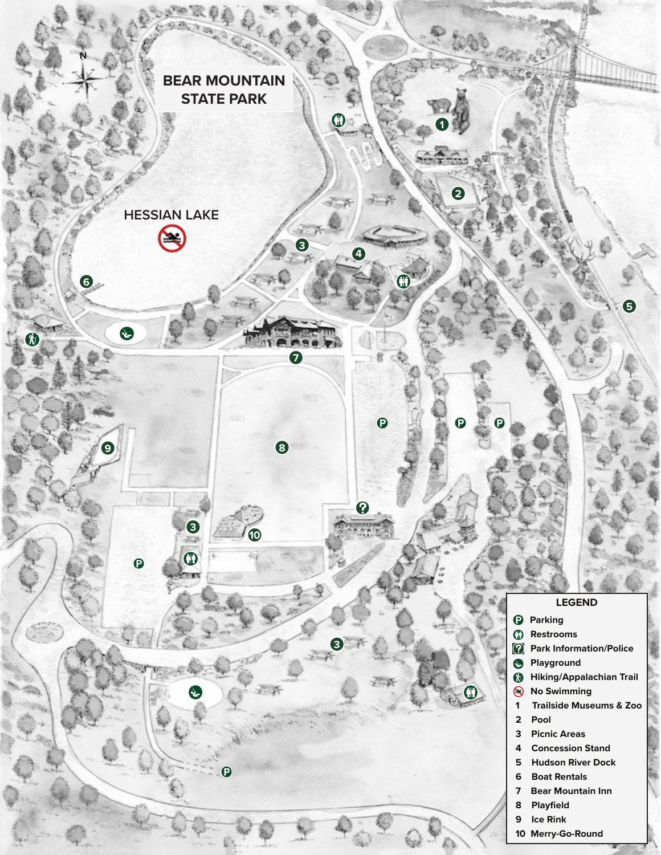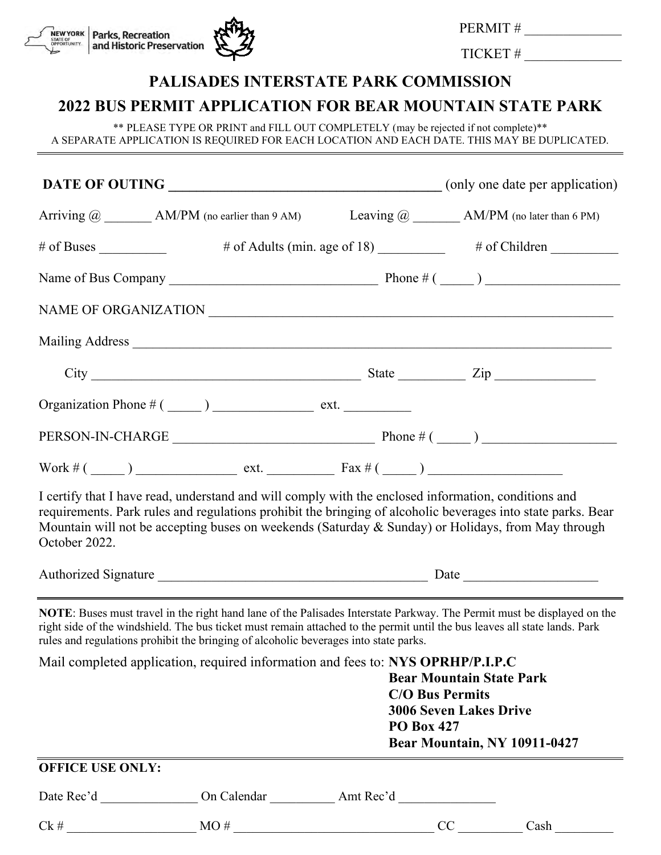

PERMIT #

TICKET # \_\_\_\_\_\_\_\_\_\_\_\_\_\_\_

# **PALISADES INTERSTATE PARK COMMISSION**

# **2022 BUS PERMIT APPLICATION FOR BEAR MOUNTAIN STATE PARK**

\*\* PLEASE TYPE OR PRINT and FILL OUT COMPLETELY (may be rejected if not complete)\*\* A SEPARATE APPLICATION IS REQUIRED FOR EACH LOCATION AND EACH DATE. THIS MAY BE DUPLICATED.

|                                                                                                                                                                                                                                           | Arriving $@$ $\qquad \qquad$ AM/PM (no earlier than 9 AM) Leaving $@$ $\qquad \qquad$ AM/PM (no later than 6 PM)                                                                                                                                                                                                                                        |                                                                 |  |  |  |
|-------------------------------------------------------------------------------------------------------------------------------------------------------------------------------------------------------------------------------------------|---------------------------------------------------------------------------------------------------------------------------------------------------------------------------------------------------------------------------------------------------------------------------------------------------------------------------------------------------------|-----------------------------------------------------------------|--|--|--|
| $#$ of Buses $\_\_$                                                                                                                                                                                                                       |                                                                                                                                                                                                                                                                                                                                                         | # of Adults (min. age of 18) ___________ # of Children ________ |  |  |  |
|                                                                                                                                                                                                                                           |                                                                                                                                                                                                                                                                                                                                                         |                                                                 |  |  |  |
|                                                                                                                                                                                                                                           |                                                                                                                                                                                                                                                                                                                                                         |                                                                 |  |  |  |
|                                                                                                                                                                                                                                           | Mailing Address                                                                                                                                                                                                                                                                                                                                         |                                                                 |  |  |  |
|                                                                                                                                                                                                                                           | $City$ $Zip$                                                                                                                                                                                                                                                                                                                                            |                                                                 |  |  |  |
|                                                                                                                                                                                                                                           |                                                                                                                                                                                                                                                                                                                                                         |                                                                 |  |  |  |
|                                                                                                                                                                                                                                           |                                                                                                                                                                                                                                                                                                                                                         |                                                                 |  |  |  |
|                                                                                                                                                                                                                                           | Work # $(\_\_)$ $ext{ext.}$ $ext{ext.}$ $\tan \frac{1}{2}$ $\tan \frac{1}{2}$ $\tan \frac{1}{2}$ $\tan \frac{1}{2}$ $\tan \frac{1}{2}$ $\tan \frac{1}{2}$ $\tan \frac{1}{2}$ $\tan \frac{1}{2}$ $\tan \frac{1}{2}$ $\tan \frac{1}{2}$ $\tan \frac{1}{2}$ $\tan \frac{1}{2}$ $\tan \frac{1}{2}$ $\tan \frac{1}{2}$ $\tan \frac{1}{2}$ $\tan \frac{1}{2}$ |                                                                 |  |  |  |
| October 2022.                                                                                                                                                                                                                             | I certify that I have read, understand and will comply with the enclosed information, conditions and<br>requirements. Park rules and regulations prohibit the bringing of alcoholic beverages into state parks. Bear<br>Mountain will not be accepting buses on weekends (Saturday & Sunday) or Holidays, from May through                              |                                                                 |  |  |  |
|                                                                                                                                                                                                                                           |                                                                                                                                                                                                                                                                                                                                                         |                                                                 |  |  |  |
|                                                                                                                                                                                                                                           | <b>NOTE:</b> Buses must travel in the right hand lane of the Palisades Interstate Parkway. The Permit must be displayed on the<br>right side of the windshield. The bus ticket must remain attached to the permit until the bus leaves all state lands. Park<br>rules and regulations prohibit the bringing of alcoholic beverages into state parks.    |                                                                 |  |  |  |
| Mail completed application, required information and fees to: NYS OPRHP/P.I.P.C<br><b>Bear Mountain State Park</b><br><b>C/O Bus Permits</b><br><b>3006 Seven Lakes Drive</b><br><b>PO Box 427</b><br><b>Bear Mountain, NY 10911-0427</b> |                                                                                                                                                                                                                                                                                                                                                         |                                                                 |  |  |  |
| <b>OFFICE USE ONLY:</b>                                                                                                                                                                                                                   |                                                                                                                                                                                                                                                                                                                                                         |                                                                 |  |  |  |
|                                                                                                                                                                                                                                           |                                                                                                                                                                                                                                                                                                                                                         |                                                                 |  |  |  |
|                                                                                                                                                                                                                                           |                                                                                                                                                                                                                                                                                                                                                         |                                                                 |  |  |  |